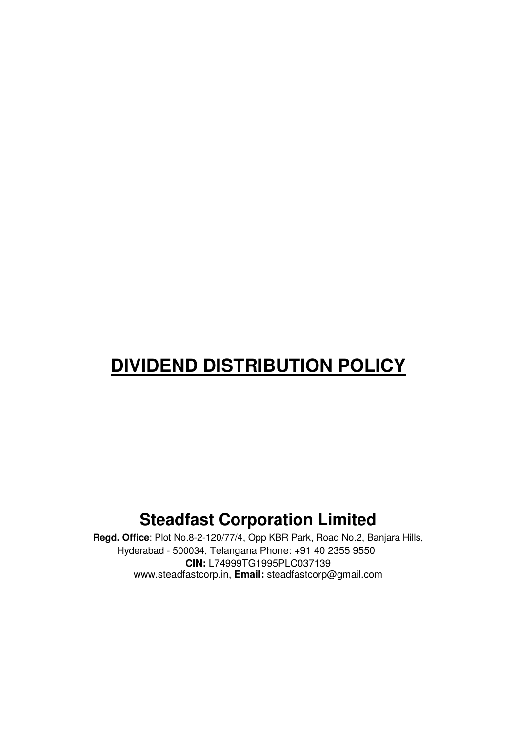# **DIVIDEND DISTRIBUTION POLICY**

## **Steadfast Corporation Limited**

**Regd. Office**: Plot No.8-2-120/77/4, Opp KBR Park, Road No.2, Banjara Hills, Hyderabad - 500034, Telangana Phone: +91 40 2355 9550 **CIN:** L74999TG1995PLC037139 www.steadfastcorp.in, **Email:** steadfastcorp@gmail.com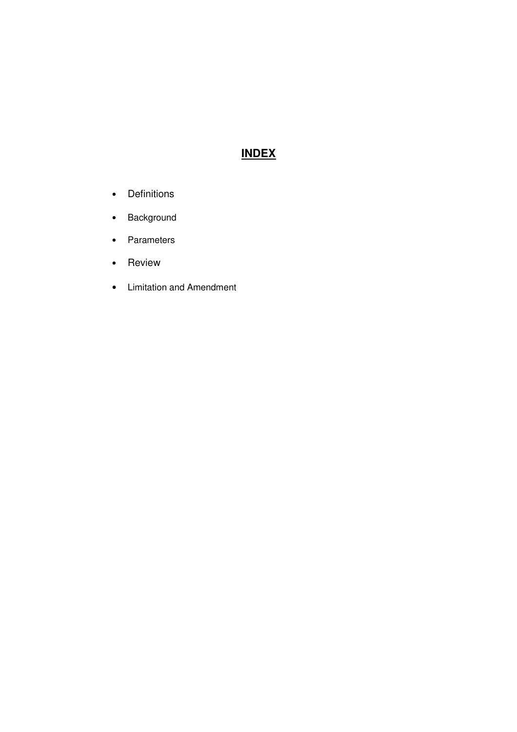### **INDEX**

- Definitions
- Background
- Parameters
- Review
- Limitation and Amendment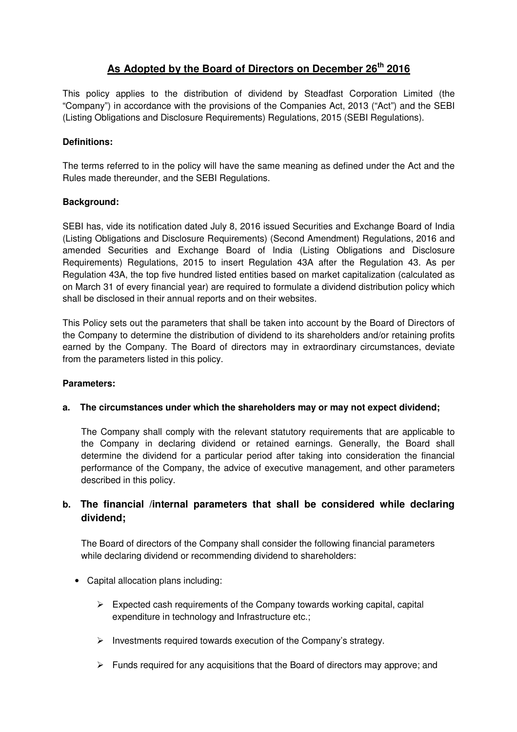#### **As Adopted by the Board of Directors on December 26th 2016**

This policy applies to the distribution of dividend by Steadfast Corporation Limited (the "Company") in accordance with the provisions of the Companies Act, 2013 ("Act") and the SEBI (Listing Obligations and Disclosure Requirements) Regulations, 2015 (SEBI Regulations).

#### **Definitions:**

The terms referred to in the policy will have the same meaning as defined under the Act and the Rules made thereunder, and the SEBI Regulations.

#### **Background:**

SEBI has, vide its notification dated July 8, 2016 issued Securities and Exchange Board of India (Listing Obligations and Disclosure Requirements) (Second Amendment) Regulations, 2016 and amended Securities and Exchange Board of India (Listing Obligations and Disclosure Requirements) Regulations, 2015 to insert Regulation 43A after the Regulation 43. As per Regulation 43A, the top five hundred listed entities based on market capitalization (calculated as on March 31 of every financial year) are required to formulate a dividend distribution policy which shall be disclosed in their annual reports and on their websites.

This Policy sets out the parameters that shall be taken into account by the Board of Directors of the Company to determine the distribution of dividend to its shareholders and/or retaining profits earned by the Company. The Board of directors may in extraordinary circumstances, deviate from the parameters listed in this policy.

#### **Parameters:**

#### **a. The circumstances under which the shareholders may or may not expect dividend;**

The Company shall comply with the relevant statutory requirements that are applicable to the Company in declaring dividend or retained earnings. Generally, the Board shall determine the dividend for a particular period after taking into consideration the financial performance of the Company, the advice of executive management, and other parameters described in this policy.

#### **b. The financial /internal parameters that shall be considered while declaring dividend;**

The Board of directors of the Company shall consider the following financial parameters while declaring dividend or recommending dividend to shareholders:

- Capital allocation plans including:
	- $\triangleright$  Expected cash requirements of the Company towards working capital, capital expenditure in technology and Infrastructure etc.;
	- $\triangleright$  Investments required towards execution of the Company's strategy.
	- $\triangleright$  Funds required for any acquisitions that the Board of directors may approve; and